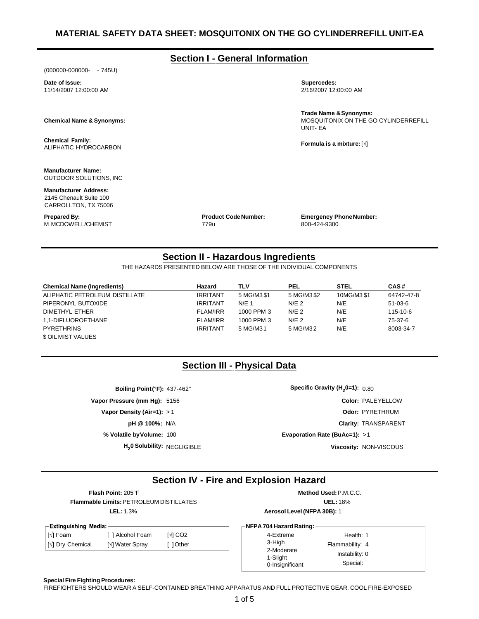## **Section I - General Information**

(000000-000000- - 745U)

**Date of Issue:** 11/14/2007 12:00:00 AM

## **Chemical Name & Synonyms:**

**Chemical Family:** ALIPHATIC HYDROCARBON

**Manufacturer Name:** OUTDOOR SOLUTIONS, INC

**Manufacturer Address:** 2145 Chenault Suite 100 CARROLLTON, TX 75006

**Prepared By:** M MCDOWELL/CHEMIST **Product CodeNumber:** 779u

**Emergency PhoneNumber:** 800-424-9300

**Trade Name &Synonyms:**

**Formula is a mixture:**[√]

MOSQUITONIX ON THE GO CYLINDERREFILL

**Supercedes:** 2/16/2007 12:00:00 AM

UNIT- EA

## **Section II - Hazardous Ingredients**

THE HAZARDS PRESENTED BELOW ARE THOSE OF THE INDIVIDUAL COMPONENTS

| <b>Chemical Name (Ingredients)</b> | Hazard          | TLV         | PEL              | <b>STEL</b> | CAS#          |
|------------------------------------|-----------------|-------------|------------------|-------------|---------------|
| ALIPHATIC PETROLEUM DISTILLATE     | <b>IRRITANT</b> | 5 MG/M3 \$1 | 5 MG/M3\$2       | 10MG/M3\$1  | 64742-47-8    |
| PIPERONYL BUTOXIDE                 | <b>IRRITANT</b> | $N/F$ 1     | N/E <sub>2</sub> | N/E         | $51 - 03 - 6$ |
| DIMETHYL ETHER                     | <b>FLAM/IRR</b> | 1000 PPM 3  | N/E <sub>2</sub> | N/E         | 115-10-6      |
| 1.1-DIFLUOROETHANE                 | <b>FLAM/IRR</b> | 1000 PPM 3  | N/E <sub>2</sub> | N/E         | 75-37-6       |
| <b>PYRETHRINS</b>                  | <b>IRRITANT</b> | 5 MG/M31    | 5 MG/M32         | N/E         | 8003-34-7     |
| <b>SOIL MIST VALUES</b>            |                 |             |                  |             |               |

# **Section III - Physical Data**

**Boiling Point(°F): 437-462°** 

**H<sub>2</sub>0 Solubility: NEGLIGIBLE** 

Specific Gravity (H<sub>2</sub>0=1): 0.80 **Vapor Pressure (mm Hg):** 5156 **Color:** PALEYELLOW **Vapor Density (Air=1):** > 1 **Odor:** PYRETHRUM **pH @ 100%:** N/A **Clarity:** TRANSPARENT **% Volatile byVolume:** 100 **Evaporation Rate (BuAc=1):** >1 **Viscosity: NON-VISCOUS** 

## **Section IV - Fire and Explosion Hazard**

**Flammable Limits:**PETROLEUM DISTILLATES **UEL:** 18%

| $\vdash$ Extinguishing Media:             |                  |                            |  |  |
|-------------------------------------------|------------------|----------------------------|--|--|
|                                           |                  |                            |  |  |
| │[√] Foam                                 | [ ] Alcohol Foam | $\sqrt{1}$ CO <sub>2</sub> |  |  |
|                                           |                  |                            |  |  |
| $\vert \left[ \cdot \right]$ Dry Chemical | [√] Water Spray  | [ 10ther                   |  |  |
|                                           |                  |                            |  |  |

**Flash Point:** 205°F **Method Used:**P.M.C.C. **LEL:** 1.3% **Aerosol Level (NFPA 30B):** 1

**NFPA 704 Hazard Rating:**

4-Extreme 3-High 2-Moderate 1-Slight 0-Insignificant

Health: 1 Flammability: 4 Instability: 0 Special:

#### **Special Fire Fighting Procedures:**

FIREFIGHTERS SHOULD WEAR A SELF-CONTAINED BREATHING APPARATUS AND FULL PROTECTIVE GEAR. COOL FIRE-EXPOSED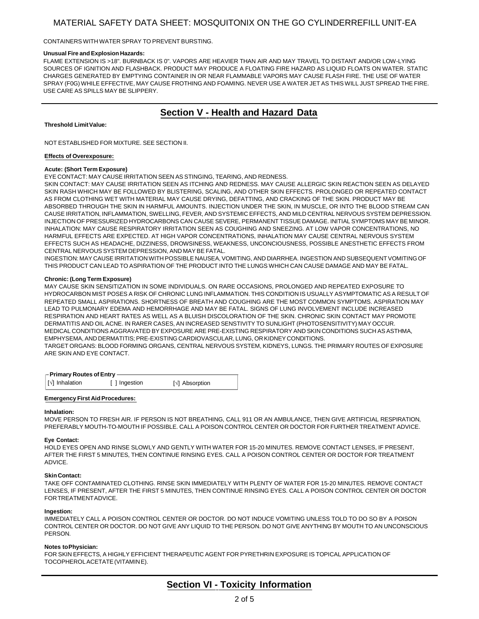CONTAINERS WITH WATER SPRAY TO PREVENT BURSTING.

### **Unusual Fire andExplosion Hazards:**

FLAME EXTENSION IS >18". BURNBACK IS 0". VAPORS ARE HEAVIER THAN AIR AND MAY TRAVEL TO DISTANT AND/OR LOW-LYING SOURCES OF IGNITION AND FLASHBACK. PRODUCT MAY PRODUCE A FLOATING FIRE HAZARD AS LIQUID FLOATS ON WATER. STATIC CHARGES GENERATED BY EMPTYING CONTAINER IN OR NEAR FLAMMABLE VAPORS MAY CAUSE FLASH FIRE. THE USE OF WATER SPRAY (F0G) WHILE EFFECTIVE, MAY CAUSE FROTHING AND FOAMING. NEVER USE A WATER JET AS THIS WILL JUST SPREAD THE FIRE. USE CARE AS SPILLS MAY BE SLIPPERY.

# **Section V - Health and Hazard Data**

### **Threshold LimitValue:**

NOT ESTABLISHED FOR MIXTURE. SEE SECTION II.

### **Effects of Overexposure:**

### **Acute: (Short Term Exposure)**

EYE CONTACT: MAY CAUSE IRRITATION SEEN AS STINGING, TEARING, AND REDNESS.

SKIN CONTACT: MAY CAUSE IRRITATION SEEN AS ITCHING AND REDNESS. MAY CAUSE ALLERGIC SKIN REACTION SEEN AS DELAYED SKIN RASH WHICH MAY BE FOLLOWED BY BLISTERING, SCALING, AND OTHER SKIN EFFECTS. PROLONGED OR REPEATED CONTACT AS FROM CLOTHING WET WITH MATERIAL MAY CAUSE DRYING, DEFATTING, AND CRACKING OF THE SKIN. PRODUCT MAY BE ABSORBED THROUGH THE SKIN IN HARMFUL AMOUNTS. INJECTION UNDER THE SKIN, IN MUSCLE, OR INTO THE BLOOD STREAM CAN CAUSE IRRITATION, INFLAMMATION, SWELLING, FEVER, AND SYSTEMIC EFFECTS, AND MILD CENTRAL NERVOUS SYSTEM DEPRESSION. INJECTION OF PRESSURIZED HYDROCARBONS CAN CAUSE SEVERE, PERMANENT TISSUE DAMAGE. INITIAL SYMPTOMS MAY BE MINOR. INHALATION: MAY CAUSE RESPIRATORY IRRITATION SEEN AS COUGHING AND SNEEZING. AT LOW VAPOR CONCENTRATIONS, NO HARMFUL EFFECTS ARE EXPECTED. AT HIGH VAPOR CONCENTRATIONS, INHALATION MAY CAUSE CENTRAL NERVOUS SYSTEM EFFECTS SUCH AS HEADACHE, DIZZINESS, DROWSINESS, WEAKNESS, UNCONCIOUSNESS, POSSIBLE ANESTHETIC EFFECTS FROM CENTRAL NERVOUS SYSTEM DEPRESSION, AND MAY BE FATAL.

INGESTION: MAY CAUSE IRRITATIONWITH POSSIBLE NAUSEA, VOMITING, AND DIARRHEA. INGESTION AND SUBSEQUENT VOMITING OF THIS PRODUCT CAN LEAD TO ASPIRATION OF THE PRODUCT INTO THE LUNGS WHICH CAN CAUSE DAMAGE AND MAY BE FATAL.

### **Chronic: (Long Term Exposure)**

MAY CAUSE SKIN SENSITIZATION IN SOME INDIVIDUALS. ON RARE OCCASIONS, PROLONGED AND REPEATED EXPOSURE TO HYDROCARBON MIST POSES A RISK OF CHRONIC LUNG INFLAMMATION. THIS CONDITION IS USUALLY ASYMPTOMATIC AS A RESULT OF REPEATED SMALL ASPIRATIONS. SHORTNESS OF BREATH AND COUGHING ARE THE MOST COMMON SYMPTOMS. ASPIRATION MAY LEAD TO PULMONARY EDEMA AND HEMORRHAGE AND MAY BE FATAL. SIGNS OF LUNG INVOLVEMENT INCLUDE INCREASED RESPIRATION AND HEART RATES AS WELL AS A BLUISH DISCOLORATION OF THE SKIN. CHRONIC SKIN CONTACT MAY PROMOTE DERMATITIS AND OIL ACNE. IN RARER CASES, AN INCREASED SENSTIVITY TO SUNLIGHT (PHOTOSENSITIVITY) MAY OCCUR. MEDICAL CONDITIONS AGGRAVATED BY EXPOSURE ARE PRE-EXISTING RESPIRATORY AND SKIN CONDITIONS SUCH AS ASTHMA, EMPHYSEMA, AND DERMATITIS; PRE-EXISTING CARDIOVASCULAR, LUNG, ORKIDNEY CONDITIONS. TARGET ORGANS: BLOOD FORMING ORGANS, CENTRAL NERVOUS SYSTEM, KIDNEYS, LUNGS. THE PRIMARY ROUTES OF EXPOSURE ARE SKIN AND EYE CONTACT.

| $\Gamma$ Primary Routes of Entry |
|----------------------------------|
|----------------------------------|

|  | $\sqrt{\sqrt{}}$ Inhalation<br>[ ] Ingestion<br>[√] Absorption |  |
|--|----------------------------------------------------------------|--|
|--|----------------------------------------------------------------|--|

## **Emergency First Aid Procedures:**

### **Inhalation:**

MOVE PERSON TO FRESH AIR. IF PERSON IS NOT BREATHING, CALL 911 OR AN AMBULANCE, THEN GIVE ARTIFICIAL RESPIRATION, PREFERABLY MOUTH-TO-MOUTH IF POSSIBLE. CALL A POISON CONTROL CENTER OR DOCTOR FOR FURTHER TREATMENT ADVICE.

### **Eye Contact:**

HOLD EYES OPEN AND RINSE SLOWLY AND GENTLY WITH WATER FOR 15-20 MINUTES. REMOVE CONTACT LENSES, IF PRESENT, AFTER THE FIRST 5 MINUTES, THEN CONTINUE RINSING EYES. CALL A POISON CONTROL CENTER OR DOCTOR FOR TREATMENT ADVICE.

### **SkinContact:**

TAKE OFF CONTAMINATED CLOTHING. RINSE SKIN IMMEDIATELY WITH PLENTY OF WATER FOR 15-20 MINUTES. REMOVE CONTACT LENSES, IF PRESENT, AFTER THE FIRST 5 MINUTES, THEN CONTINUE RINSING EYES. CALL A POISON CONTROL CENTER OR DOCTOR FORTREATMENTADVICE.

### **Ingestion:**

IMMEDIATELY CALL A POISON CONTROL CENTER OR DOCTOR. DO NOT INDUCE VOMITING UNLESS TOLD TO DO SO BY A POISON CONTROL CENTER OR DOCTOR. DO NOT GIVE ANY LIQUID TO THE PERSON. DO NOT GIVE ANYTHING BY MOUTH TO AN UNCONSCIOUS PERSON.

#### **Notes toPhysician:**

FOR SKIN EFFECTS, A HIGHLY EFFICIENT THERAPEUTIC AGENT FOR PYRETHRIN EXPOSURE IS TOPICAL APPLICATION OF TOCOPHEROLACETATE(VITAMINE).

# **Section VI - Toxicity Information**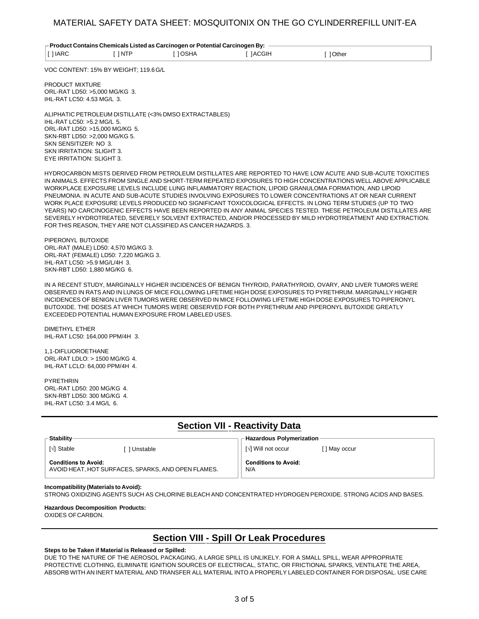| - Product Contains Chemicals Listed as Carcinogen or Potential Carcinogen By: |      |       |               |        |  |  |
|-------------------------------------------------------------------------------|------|-------|---------------|--------|--|--|
| $\lceil$ ] IARC                                                               | 1NTP | 10SHA | <b>IACGIH</b> | 1Other |  |  |

VOC CONTENT: 15% BY WEIGHT; 119.6G/L

PRODUCT MIXTURE ORL-RAT LD50: >5,000 MG/KG 3. IHL-RAT LC50: 4.53 MG/L 3.

ALIPHATIC PETROLEUM DISTILLATE (<3% DMSO EXTRACTABLES) IHL-RAT LC50: >5.2 MG/L 5. ORL-RAT LD50: >15,000 MG/KG 5. SKN-RBT LD50: >2,000 MG/KG 5. SKN SENSITIZER: NO 3. SKN IRRITATION: SLIGHT 3. EYE IRRITATION: SLIGHT 3.

HYDROCARBON MISTS DERIVED FROM PETROLEUM DISTILLATES ARE REPORTED TO HAVE LOW ACUTE AND SUB-ACUTE TOXICITIES IN ANIMALS. EFFECTS FROM SINGLE AND SHORT-TERM REPEATED EXPOSURES TO HIGH CONCENTRATIONS WELL ABOVE APPLICABLE WORKPLACE EXPOSURE LEVELS INCLUDE LUNG INFLAMMATORY REACTION, LIPOID GRANULOMA FORMATION, AND LIPOID PNEUMONIA. IN ACUTE AND SUB-ACUTE STUDIES INVOLVING EXPOSURES TO LOWER CONCENTRATIONS AT OR NEAR CURRENT WORK PLACE EXPOSURE LEVELS PRODUCED NO SIGNIFICANT TOXICOLOGICAL EFFECTS. IN LONG TERM STUDIES (UP TO TWO YEARS) NO CARCINOGENIC EFFECTS HAVE BEEN REPORTED IN ANY ANIMAL SPECIES TESTED. THESE PETROLEUM DISTILLATES ARE SEVERELY HYDROTREATED, SEVERELY SOLVENT EXTRACTED, AND/OR PROCESSED BY MILD HYDROTREATMENT AND EXTRACTION. FOR THIS REASON, THEY ARE NOT CLASSIFIED AS CANCER HAZARDS. 3.

PIPERONYL BUTOXIDE ORL-RAT (MALE) LD50: 4,570 MG/KG 3. ORL-RAT (FEMALE) LD50: 7,220 MG/KG 3. IHL-RAT LC50: >5.9 MG/L/4H 3. SKN-RBT LD50: 1,880 MG/KG 6.

IN A RECENT STUDY, MARGINALLY HIGHER INCIDENCES OF BENIGN THYROID, PARATHYROID, OVARY, AND LIVER TUMORS WERE OBSERVED IN RATS AND IN LUNGS OF MICE FOLLOWING LIFETIME HIGH DOSE EXPOSURES TO PYRETHRUM. MARGINALLY HIGHER INCIDENCES OF BENIGN LIVER TUMORS WERE OBSERVED IN MICE FOLLOWING LIFETIME HIGH DOSE EXPOSURES TO PIPERONYL BUTOXIDE. THE DOSES AT WHICH TUMORS WERE OBSERVED FOR BOTH PYRETHRUM AND PIPERONYL BUTOXIDE GREATLY EXCEEDED POTENTIAL HUMAN EXPOSURE FROM LABELED USES.

DIMETHYL ETHER IHL-RAT LC50: 164,000 PPM/4H 3.

1,1-DIFLUOROETHANE ORL-RAT LDLO: > 1500 MG/KG 4. IHL-RAT LCLO: 64,000 PPM/4H 4.

PYRETHRIN ORL-RAT LD50: 200 MG/KG 4. SKN-RBT LD50: 300 MG/KG 4. IHL-RAT LC50: 3.4 MG/L 6.

## **Section VII - Reactivity Data**

| $\Gamma$ Stability-         |                                                    | - Hazardous Polymerization -       |             |
|-----------------------------|----------------------------------------------------|------------------------------------|-------------|
| [√] Stable                  | l Unstable                                         | [√] Will not occur                 | 1 May occur |
| <b>Conditions to Avoid:</b> | AVOID HEAT, HOT SURFACES, SPARKS, AND OPEN FLAMES. | <b>Conditions to Avoid:</b><br>N/A |             |

#### **Incompatibility (Materials to Avoid):**

STRONG OXIDIZING AGENTS SUCH AS CHLORINE BLEACH AND CONCENTRATED HYDROGEN PEROXIDE. STRONG ACIDS AND BASES.

#### **Hazardous Decomposition Products:**

OXIDES OFCARBON.

## **Section VIII - Spill Or Leak Procedures**

### **Steps to be Taken if Material is Released or Spilled:**

DUE TO THE NATURE OF THE AEROSOL PACKAGING, A LARGE SPILL IS UNLIKELY. FOR A SMALL SPILL, WEAR APPROPRIATE PROTECTIVE CLOTHING, ELIMINATE IGNITION SOURCES OF ELECTRICAL, STATIC, OR FRICTIONAL SPARKS, VENTILATE THE AREA, ABSORB WITH AN INERT MATERIAL AND TRANSFER ALL MATERIAL INTO A PROPERLY LABELED CONTAINER FOR DISPOSAL. USE CARE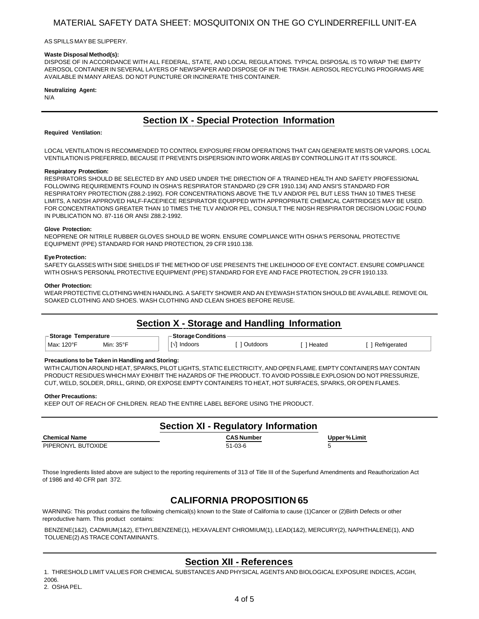#### AS SPILLS MAY BE SLIPPERY.

#### **Waste Disposal Method(s):**

DISPOSE OF IN ACCORDANCE WITH ALL FEDERAL, STATE, AND LOCAL REGULATIONS. TYPICAL DISPOSAL IS TO WRAP THE EMPTY AEROSOL CONTAINER IN SEVERAL LAYERS OF NEWSPAPER AND DISPOSE OF IN THE TRASH. AEROSOL RECYCLING PROGRAMS ARE AVAILABLE IN MANY AREAS. DO NOT PUNCTURE OR INCINERATE THIS CONTAINER.

#### **Neutralizing Agent:**

N/A

# **Section IX - Special Protection Information**

#### **Required Ventilation:**

LOCAL VENTILATION IS RECOMMENDED TO CONTROL EXPOSURE FROM OPERATIONS THAT CAN GENERATE MISTS OR VAPORS. LOCAL VENTILATION IS PREFERRED, BECAUSE IT PREVENTS DISPERSION INTO WORK AREAS BY CONTROLLING IT AT ITS SOURCE.

#### **Respiratory Protection:**

RESPIRATORS SHOULD BE SELECTED BY AND USED UNDER THE DIRECTION OF A TRAINED HEALTH AND SAFETY PROFESSIONAL FOLLOWING REQUIREMENTS FOUND IN OSHA'S RESPIRATOR STANDARD (29 CFR 1910.134) AND ANSI'S STANDARD FOR RESPIRATORY PROTECTION (Z88.2-1992). FOR CONCENTRATIONS ABOVE THE TLV AND/OR PEL BUT LESS THAN 10 TIMES THESE LIMITS, A NIOSH APPROVED HALF-FACEPIECE RESPIRATOR EQUIPPED WITH APPROPRIATE CHEMICAL CARTRIDGES MAY BE USED. FOR CONCENTRATIONS GREATER THAN 10 TIMES THE TLV AND/OR PEL, CONSULT THE NIOSH RESPIRATOR DECISION LOGIC FOUND IN PUBLICATION NO. 87-116 OR ANSI Z88.2-1992.

#### **Glove Protection:**

NEOPRENE OR NITRILE RUBBER GLOVES SHOULD BE WORN. ENSURE COMPLIANCE WITH OSHA'S PERSONAL PROTECTIVE EQUIPMENT (PPE) STANDARD FOR HAND PROTECTION, 29 CFR 1910.138.

#### **EyeProtection:**

SAFETY GLASSES WITH SIDE SHIELDS IF THE METHOD OF USE PRESENTS THE LIKELIHOOD OF EYE CONTACT. ENSURE COMPLIANCE WITH OSHA'S PERSONAL PROTECTIVE EQUIPMENT (PPE) STANDARD FOR EYE AND FACE PROTECTION, 29 CFR 1910.133.

#### **Other Protection:**

WEAR PROTECTIVE CLOTHING WHEN HANDLING. A SAFETY SHOWER AND AN EYEWASH STATION SHOULD BE AVAILABLE. REMOVE OIL SOAKED CLOTHING AND SHOES. WASH CLOTHING AND CLEAN SHOES BEFORE REUSE.

## **Section X - Storage and Handling Information**

| Storage<br>emperature                 | Conditions |       |        |      |
|---------------------------------------|------------|-------|--------|------|
| 120°<br>Min: 35° <sup>⊏</sup><br>Max: | doors      | oors. | Heateo | atec |

#### **Precautions to be Taken in Handling and Storing:**

WITH CAUTION AROUND HEAT, SPARKS, PILOT LIGHTS, STATIC ELECTRICITY, AND OPEN FLAME. EMPTY CONTAINERS MAY CONTAIN PRODUCT RESIDUES WHICH MAY EXHIBIT THE HAZARDS OF THE PRODUCT. TO AVOID POSSIBLE EXPLOSION DO NOT PRESSURIZE, CUT, WELD, SOLDER, DRILL, GRIND, OR EXPOSE EMPTY CONTAINERS TO HEAT, HOT SURFACES, SPARKS, OR OPEN FLAMES.

#### **Other Precautions:**

KEEP OUT OF REACH OF CHILDREN. READ THE ENTIRE LABEL BEFORE USING THE PRODUCT.

|                      | <b>Section XI - Regulatory Information</b> |               |  |
|----------------------|--------------------------------------------|---------------|--|
| <b>Chemical Name</b> | <b>CAS Number</b>                          | Upper % Limit |  |
| PIPERONYL BUTOXIDE   | $51-03-6$                                  | 5.            |  |

Those Ingredients listed above are subject to the reporting requirements of 313 of Title III of the Superfund Amendments and Reauthorization Act of 1986 and 40 CFR part 372.

## **CALIFORNIA PROPOSITION 65**

WARNING: This product contains the following chemical(s) known to the State of California to cause (1)Cancer or (2)Birth Defects or other reproductive harm. This product contains:

BENZENE(1&2), CADMIUM(1&2), ETHYLBENZENE(1), HEXAVALENT CHROMIUM(1), LEAD(1&2), MERCURY(2), NAPHTHALENE(1), AND TOLUENE(2) AS TRACE CONTAMINANTS.

## **Section XII - References**

1. THRESHOLD LIMIT VALUES FOR CHEMICAL SUBSTANCES AND PHYSICAL AGENTS AND BIOLOGICAL EXPOSURE INDICES, ACGIH, 2006.

2. OSHA PEL.